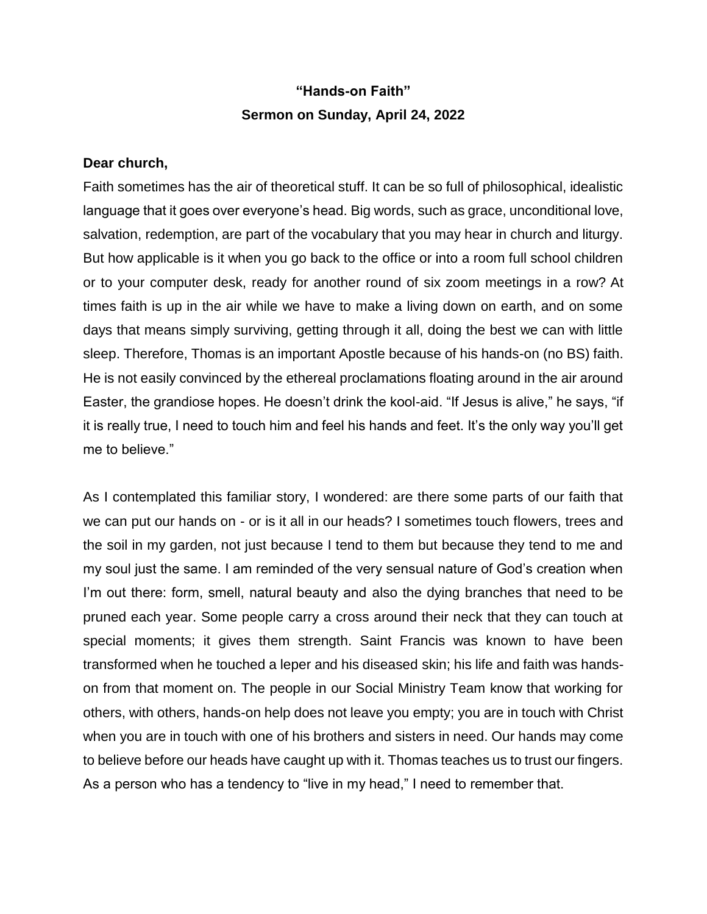## **"Hands-on Faith" Sermon on Sunday, April 24, 2022**

## **Dear church,**

Faith sometimes has the air of theoretical stuff. It can be so full of philosophical, idealistic language that it goes over everyone's head. Big words, such as grace, unconditional love, salvation, redemption, are part of the vocabulary that you may hear in church and liturgy. But how applicable is it when you go back to the office or into a room full school children or to your computer desk, ready for another round of six zoom meetings in a row? At times faith is up in the air while we have to make a living down on earth, and on some days that means simply surviving, getting through it all, doing the best we can with little sleep. Therefore, Thomas is an important Apostle because of his hands-on (no BS) faith. He is not easily convinced by the ethereal proclamations floating around in the air around Easter, the grandiose hopes. He doesn't drink the kool-aid. "If Jesus is alive," he says, "if it is really true, I need to touch him and feel his hands and feet. It's the only way you'll get me to believe."

As I contemplated this familiar story, I wondered: are there some parts of our faith that we can put our hands on - or is it all in our heads? I sometimes touch flowers, trees and the soil in my garden, not just because I tend to them but because they tend to me and my soul just the same. I am reminded of the very sensual nature of God's creation when I'm out there: form, smell, natural beauty and also the dying branches that need to be pruned each year. Some people carry a cross around their neck that they can touch at special moments; it gives them strength. Saint Francis was known to have been transformed when he touched a leper and his diseased skin; his life and faith was handson from that moment on. The people in our Social Ministry Team know that working for others, with others, hands-on help does not leave you empty; you are in touch with Christ when you are in touch with one of his brothers and sisters in need. Our hands may come to believe before our heads have caught up with it. Thomas teaches us to trust our fingers. As a person who has a tendency to "live in my head," I need to remember that.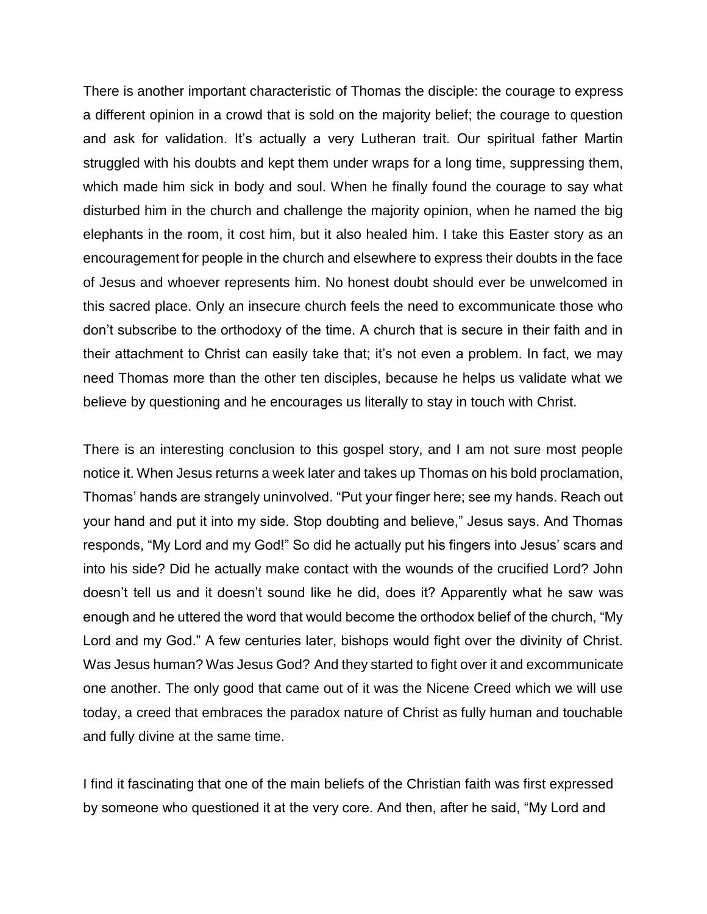There is another important characteristic of Thomas the disciple: the courage to express a different opinion in a crowd that is sold on the majority belief; the courage to question and ask for validation. It's actually a very Lutheran trait. Our spiritual father Martin struggled with his doubts and kept them under wraps for a long time, suppressing them, which made him sick in body and soul. When he finally found the courage to say what disturbed him in the church and challenge the majority opinion, when he named the big elephants in the room, it cost him, but it also healed him. I take this Easter story as an encouragement for people in the church and elsewhere to express their doubts in the face of Jesus and whoever represents him. No honest doubt should ever be unwelcomed in this sacred place. Only an insecure church feels the need to excommunicate those who don't subscribe to the orthodoxy of the time. A church that is secure in their faith and in their attachment to Christ can easily take that; it's not even a problem. In fact, we may need Thomas more than the other ten disciples, because he helps us validate what we believe by questioning and he encourages us literally to stay in touch with Christ.

There is an interesting conclusion to this gospel story, and I am not sure most people notice it. When Jesus returns a week later and takes up Thomas on his bold proclamation, Thomas' hands are strangely uninvolved. "Put your finger here; see my hands. Reach out your hand and put it into my side. Stop doubting and believe," Jesus says. And Thomas responds, "My Lord and my God!" So did he actually put his fingers into Jesus' scars and into his side? Did he actually make contact with the wounds of the crucified Lord? John doesn't tell us and it doesn't sound like he did, does it? Apparently what he saw was enough and he uttered the word that would become the orthodox belief of the church, "My Lord and my God." A few centuries later, bishops would fight over the divinity of Christ. Was Jesus human? Was Jesus God? And they started to fight over it and excommunicate one another. The only good that came out of it was the Nicene Creed which we will use today, a creed that embraces the paradox nature of Christ as fully human and touchable and fully divine at the same time.

I find it fascinating that one of the main beliefs of the Christian faith was first expressed by someone who questioned it at the very core. And then, after he said, "My Lord and